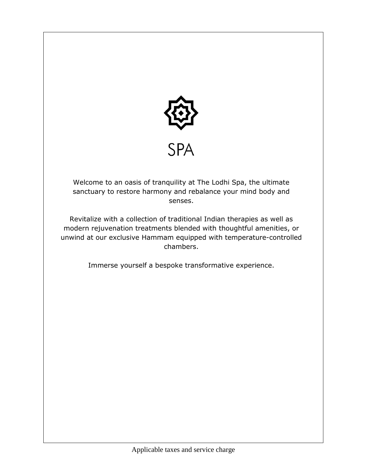

Welcome to an oasis of tranquility at The Lodhi Spa, the ultimate sanctuary to restore harmony and rebalance your mind body and senses.

Revitalize with a collection of traditional Indian therapies as well as modern rejuvenation treatments blended with thoughtful amenities, or unwind at our exclusive Hammam equipped with temperature-controlled chambers.

Immerse yourself a bespoke transformative experience.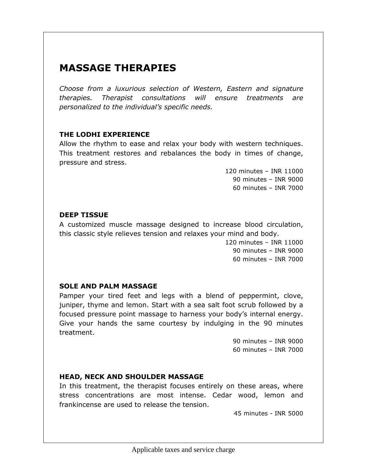# **MASSAGE THERAPIES**

*Choose from a luxurious selection of Western, Eastern and signature therapies. Therapist consultations will ensure treatments are personalized to the individual's specific needs.*

### **THE LODHI EXPERIENCE**

Allow the rhythm to ease and relax your body with western techniques. This treatment restores and rebalances the body in times of change, pressure and stress.

> 120 minutes – INR 11000 90 minutes – INR 9000 60 minutes – INR 7000

## **DEEP TISSUE**

A customized muscle massage designed to increase blood circulation, this classic style relieves tension and relaxes your mind and body.

> 120 minutes – INR 11000 90 minutes – INR 9000 60 minutes – INR 7000

## **SOLE AND PALM MASSAGE**

Pamper your tired feet and legs with a blend of peppermint, clove, juniper, thyme and lemon. Start with a sea salt foot scrub followed by a focused pressure point massage to harness your body's internal energy. Give your hands the same courtesy by indulging in the 90 minutes treatment.

> 90 minutes – INR 9000 60 minutes – INR 7000

## **HEAD, NECK AND SHOULDER MASSAGE**

In this treatment, the therapist focuses entirely on these areas, where stress concentrations are most intense. Cedar wood, lemon and frankincense are used to release the tension.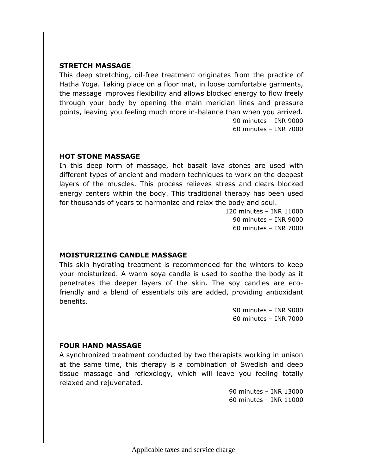### **STRETCH MASSAGE**

This deep stretching, oil-free treatment originates from the practice of Hatha Yoga. Taking place on a floor mat, in loose comfortable garments, the massage improves flexibility and allows blocked energy to flow freely through your body by opening the main meridian lines and pressure points, leaving you feeling much more in-balance than when you arrived. 90 minutes – INR 9000

60 minutes – INR 7000

### **HOT STONE MASSAGE**

In this deep form of massage, hot basalt lava stones are used with different types of ancient and modern techniques to work on the deepest layers of the muscles. This process relieves stress and clears blocked energy centers within the body. This traditional therapy has been used for thousands of years to harmonize and relax the body and soul.

> 120 minutes – INR 11000 90 minutes – INR 9000 60 minutes – INR 7000

### **MOISTURIZING CANDLE MASSAGE**

This skin hydrating treatment is recommended for the winters to keep your moisturized. A warm soya candle is used to soothe the body as it penetrates the deeper layers of the skin. The soy candles are ecofriendly and a blend of essentials oils are added, providing antioxidant benefits.

> 90 minutes – INR 9000 60 minutes – INR 7000

### **FOUR HAND MASSAGE**

A synchronized treatment conducted by two therapists working in unison at the same time, this therapy is a combination of Swedish and deep tissue massage and reflexology, which will leave you feeling totally relaxed and rejuvenated.

> 90 minutes – INR 13000 60 minutes – INR 11000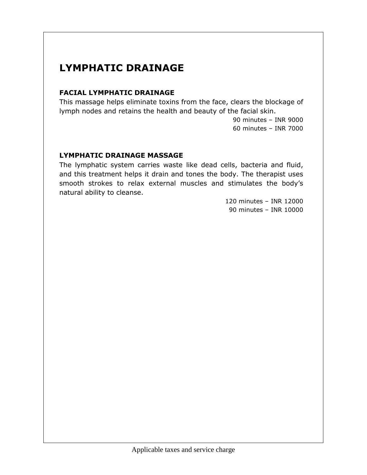# **LYMPHATIC DRAINAGE**

## **FACIAL LYMPHATIC DRAINAGE**

This massage helps eliminate toxins from the face, clears the blockage of lymph nodes and retains the health and beauty of the facial skin.

> 90 minutes – INR 9000 60 minutes – INR 7000

## **LYMPHATIC DRAINAGE MASSAGE**

The lymphatic system carries waste like dead cells, bacteria and fluid, and this treatment helps it drain and tones the body. The therapist uses smooth strokes to relax external muscles and stimulates the body's natural ability to cleanse.

> 120 minutes – INR 12000 90 minutes – INR 10000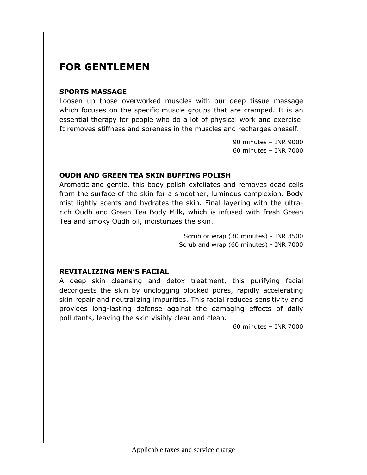## **FOR GENTLEMEN**

### **SPORTS MASSAGE**

Loosen up those overworked muscles with our deep tissue massage which focuses on the specific muscle groups that are cramped. It is an essential therapy for people who do a lot of physical work and exercise. It removes stiffness and soreness in the muscles and recharges oneself.

> 90 minutes – INR 9000 60 minutes – INR 7000

## **OUDH AND GREEN TEA SKIN BUFFING POLISH**

Aromatic and gentle, this body polish exfoliates and removes dead cells from the surface of the skin for a smoother, luminous complexion. Body mist lightly scents and hydrates the skin. Final layering with the ultrarich Oudh and Green Tea Body Milk, which is infused with fresh Green Tea and smoky Oudh oil, moisturizes the skin.

> Scrub or wrap (30 minutes) - INR 3500 Scrub and wrap (60 minutes) - INR 7000

### **REVITALIZING MEN'S FACIAL**

A deep skin cleansing and detox treatment, this purifying facial decongests the skin by unclogging blocked pores, rapidly accelerating skin repair and neutralizing impurities. This facial reduces sensitivity and provides long-lasting defense against the damaging effects of daily pollutants, leaving the skin visibly clear and clean.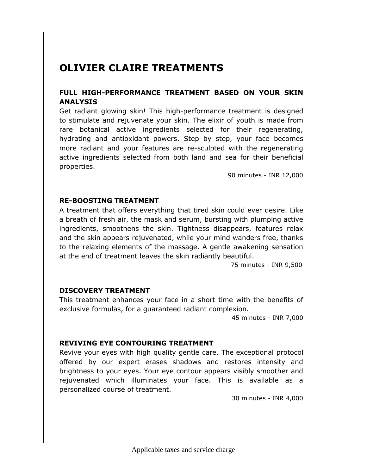## **OLIVIER CLAIRE TREATMENTS**

## **FULL HIGH-PERFORMANCE TREATMENT BASED ON YOUR SKIN ANALYSIS**

Get radiant glowing skin! This high-performance treatment is designed to stimulate and rejuvenate your skin. The elixir of youth is made from rare botanical active ingredients selected for their regenerating, hydrating and antioxidant powers. Step by step, your face becomes more radiant and your features are re-sculpted with the regenerating active ingredients selected from both land and sea for their beneficial properties.

90 minutes - INR 12,000

### **RE-BOOSTING TREATMENT**

A treatment that offers everything that tired skin could ever desire. Like a breath of fresh air, the mask and serum, bursting with plumping active ingredients, smoothens the skin. Tightness disappears, features relax and the skin appears rejuvenated, while your mind wanders free, thanks to the relaxing elements of the massage. A gentle awakening sensation at the end of treatment leaves the skin radiantly beautiful.

75 minutes - INR 9,500

### **DISCOVERY TREATMENT**

This treatment enhances your face in a short time with the benefits of exclusive formulas, for a guaranteed radiant complexion.

45 minutes - INR 7,000

### **REVIVING EYE CONTOURING TREATMENT**

Revive your eyes with high quality gentle care. The exceptional protocol offered by our expert erases shadows and restores intensity and brightness to your eyes. Your eye contour appears visibly smoother and rejuvenated which illuminates your face. This is available as a personalized course of treatment.

30 minutes - INR 4,000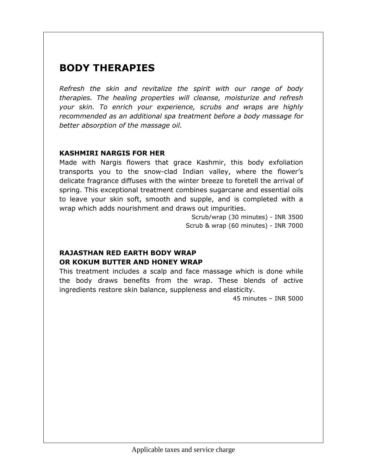# **BODY THERAPIES**

*Refresh the skin and revitalize the spirit with our range of body therapies. The healing properties will cleanse, moisturize and refresh your skin. To enrich your experience, scrubs and wraps are highly recommended as an additional spa treatment before a body massage for better absorption of the massage oil.*

## **KASHMIRI NARGIS FOR HER**

Made with Nargis flowers that grace Kashmir, this body exfoliation transports you to the snow-clad Indian valley, where the flower's delicate fragrance diffuses with the winter breeze to foretell the arrival of spring. This exceptional treatment combines sugarcane and essential oils to leave your skin soft, smooth and supple, and is completed with a wrap which adds nourishment and draws out impurities.

Scrub/wrap (30 minutes) - INR 3500 Scrub & wrap (60 minutes) - INR 7000

## **RAJASTHAN RED EARTH BODY WRAP OR KOKUM BUTTER AND HONEY WRAP**

This treatment includes a scalp and face massage which is done while the body draws benefits from the wrap. These blends of active ingredients restore skin balance, suppleness and elasticity.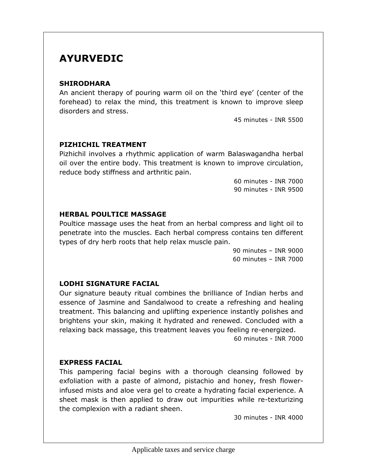## **AYURVEDIC**

### **SHIRODHARA**

An ancient therapy of pouring warm oil on the 'third eye' (center of the forehead) to relax the mind, this treatment is known to improve sleep disorders and stress.

45 minutes - INR 5500

### **PIZHICHIL TREATMENT**

Pizhichil involves a rhythmic application of warm Balaswagandha herbal oil over the entire body. This treatment is known to improve circulation, reduce body stiffness and arthritic pain.

> 60 minutes - INR 7000 90 minutes - INR 9500

### **HERBAL POULTICE MASSAGE**

Poultice massage uses the heat from an herbal compress and light oil to penetrate into the muscles. Each herbal compress contains ten different types of dry herb roots that help relax muscle pain.

> 90 minutes – INR 9000 60 minutes – INR 7000

## **LODHI SIGNATURE FACIAL**

Our signature beauty ritual combines the brilliance of Indian herbs and essence of Jasmine and Sandalwood to create a refreshing and healing treatment. This balancing and uplifting experience instantly polishes and brightens your skin, making it hydrated and renewed. Concluded with a relaxing back massage, this treatment leaves you feeling re-energized. 60 minutes - INR 7000

## **EXPRESS FACIAL**

This pampering facial begins with a thorough cleansing followed by exfoliation with a paste of almond, pistachio and honey, fresh flowerinfused mists and aloe vera gel to create a hydrating facial experience. A sheet mask is then applied to draw out impurities while re-texturizing the complexion with a radiant sheen.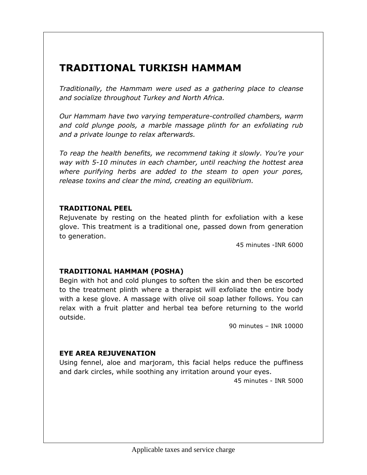# **TRADITIONAL TURKISH HAMMAM**

*Traditionally, the Hammam were used as a gathering place to cleanse and socialize throughout Turkey and North Africa.*

*Our Hammam have two varying temperature-controlled chambers, warm and cold plunge pools, a marble massage plinth for an exfoliating rub and a private lounge to relax afterwards.*

*To reap the health benefits, we recommend taking it slowly. You're your way with 5-10 minutes in each chamber, until reaching the hottest area where purifying herbs are added to the steam to open your pores, release toxins and clear the mind, creating an equilibrium.*

## **TRADITIONAL PEEL**

Rejuvenate by resting on the heated plinth for exfoliation with a kese glove. This treatment is a traditional one, passed down from generation to generation.

45 minutes -INR 6000

## **TRADITIONAL HAMMAM (POSHA)**

Begin with hot and cold plunges to soften the skin and then be escorted to the treatment plinth where a therapist will exfoliate the entire body with a kese glove. A massage with olive oil soap lather follows. You can relax with a fruit platter and herbal tea before returning to the world outside.

90 minutes – INR 10000

## **EYE AREA REJUVENATION**

Using fennel, aloe and marjoram, this facial helps reduce the puffiness and dark circles, while soothing any irritation around your eyes.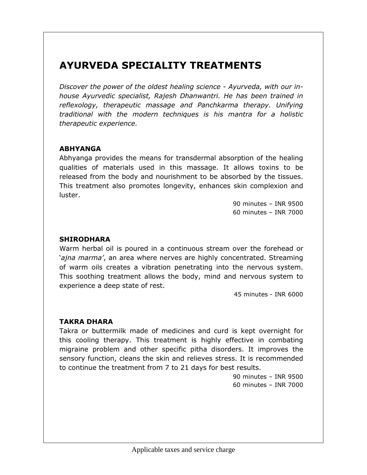## **AYURVEDA SPECIALITY TREATMENTS**

*Discover the power of the oldest healing science - Ayurveda, with our inhouse Ayurvedic specialist, Rajesh Dhanwantri. He has been trained in reflexology, therapeutic massage and Panchkarma therapy. Unifying traditional with the modern techniques is his mantra for a holistic therapeutic experience.*

## **ABHYANGA**

Abhyanga provides the means for transdermal absorption of the healing qualities of materials used in this massage. It allows toxins to be released from the body and nourishment to be absorbed by the tissues. This treatment also promotes longevity, enhances skin complexion and luster.

> 90 minutes – INR 9500 60 minutes – INR 7000

## **SHIRODHARA**

Warm herbal oil is poured in a continuous stream over the forehead or '*ajna marma'*, an area where nerves are highly concentrated. Streaming of warm oils creates a vibration penetrating into the nervous system. This soothing treatment allows the body, mind and nervous system to experience a deep state of rest.

45 minutes - INR 6000

## **TAKRA DHARA**

Takra or buttermilk made of medicines and curd is kept overnight for this cooling therapy. This treatment is highly effective in combating migraine problem and other specific pitha disorders. It improves the sensory function, cleans the skin and relieves stress. It is recommended to continue the treatment from 7 to 21 days for best results.

> 90 minutes – INR 9500 60 minutes – INR 7000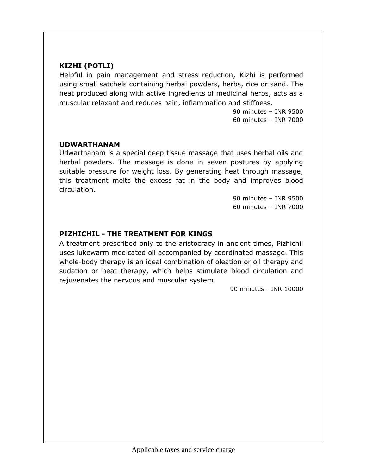## **KIZHI (POTLI)**

Helpful in pain management and stress reduction, Kizhi is performed using small satchels containing herbal powders, herbs, rice or sand. The heat produced along with active ingredients of medicinal herbs, acts as a muscular relaxant and reduces pain, inflammation and stiffness.

> 90 minutes – INR 9500 60 minutes – INR 7000

### **UDWARTHANAM**

Udwarthanam is a special deep tissue massage that uses herbal oils and herbal powders. The massage is done in seven postures by applying suitable pressure for weight loss. By generating heat through massage, this treatment melts the excess fat in the body and improves blood circulation.

> 90 minutes – INR 9500 60 minutes – INR 7000

## **PIZHICHIL - THE TREATMENT FOR KINGS**

A treatment prescribed only to the aristocracy in ancient times, Pizhichil uses lukewarm medicated oil accompanied by coordinated massage. This whole-body therapy is an ideal combination of oleation or oil therapy and sudation or heat therapy, which helps stimulate blood circulation and rejuvenates the nervous and muscular system.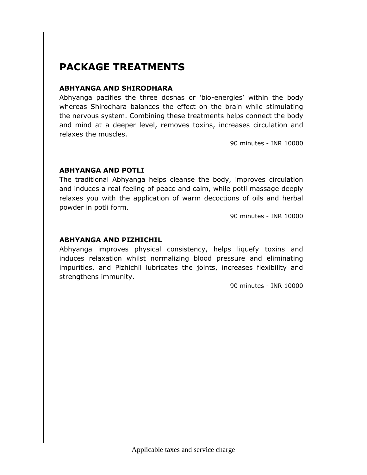# **PACKAGE TREATMENTS**

### **ABHYANGA AND SHIRODHARA**

Abhyanga pacifies the three doshas or 'bio-energies' within the body whereas Shirodhara balances the effect on the brain while stimulating the nervous system. Combining these treatments helps connect the body and mind at a deeper level, removes toxins, increases circulation and relaxes the muscles.

90 minutes - INR 10000

### **ABHYANGA AND POTLI**

The traditional Abhyanga helps cleanse the body, improves circulation and induces a real feeling of peace and calm, while potli massage deeply relaxes you with the application of warm decoctions of oils and herbal powder in potli form.

90 minutes - INR 10000

## **ABHYANGA AND PIZHICHIL**

Abhyanga improves physical consistency, helps liquefy toxins and induces relaxation whilst normalizing blood pressure and eliminating impurities, and Pizhichil lubricates the joints, increases flexibility and strengthens immunity.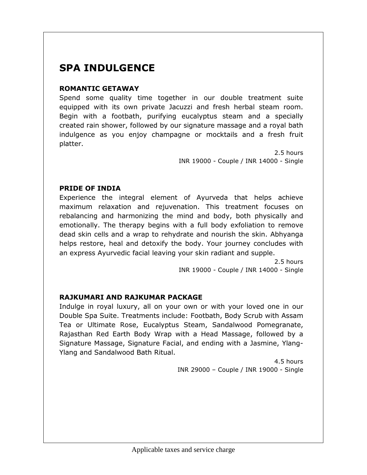# **SPA INDULGENCE**

## **ROMANTIC GETAWAY**

Spend some quality time together in our double treatment suite equipped with its own private Jacuzzi and fresh herbal steam room. Begin with a footbath, purifying eucalyptus steam and a specially created rain shower, followed by our signature massage and a royal bath indulgence as you enjoy champagne or mocktails and a fresh fruit platter.

> 2.5 hours INR 19000 - Couple / INR 14000 - Single

## **PRIDE OF INDIA**

Experience the integral element of Ayurveda that helps achieve maximum relaxation and rejuvenation. This treatment focuses on rebalancing and harmonizing the mind and body, both physically and emotionally. The therapy begins with a full body exfoliation to remove dead skin cells and a wrap to rehydrate and nourish the skin. Abhyanga helps restore, heal and detoxify the body. Your journey concludes with an express Ayurvedic facial leaving your skin radiant and supple.

> 2.5 hours INR 19000 - Couple / INR 14000 - Single

## **RAJKUMARI AND RAJKUMAR PACKAGE**

Indulge in royal luxury, all on your own or with your loved one in our Double Spa Suite. Treatments include: Footbath, Body Scrub with Assam Tea or Ultimate Rose, Eucalyptus Steam, Sandalwood Pomegranate, Rajasthan Red Earth Body Wrap with a Head Massage, followed by a Signature Massage, Signature Facial, and ending with a Jasmine, Ylang-Ylang and Sandalwood Bath Ritual.

> 4.5 hours INR 29000 – Couple / INR 19000 - Single